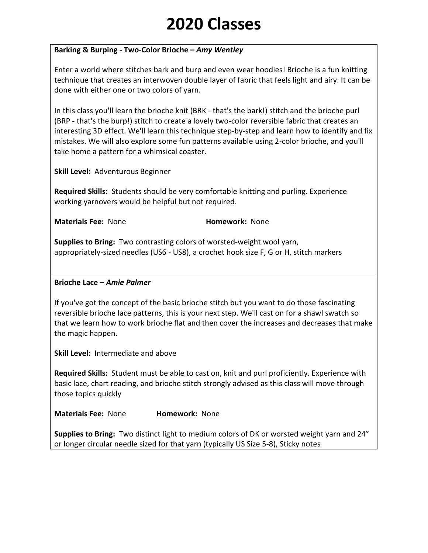### **Barking & Burping - Two-Color Brioche –** *Amy Wentley*

Enter a world where stitches bark and burp and even wear hoodies! Brioche is a fun knitting technique that creates an interwoven double layer of fabric that feels light and airy. It can be done with either one or two colors of yarn.

In this class you'll learn the brioche knit (BRK - that's the bark!) stitch and the brioche purl (BRP - that's the burp!) stitch to create a lovely two-color reversible fabric that creates an interesting 3D effect. We'll learn this technique step-by-step and learn how to identify and fix mistakes. We will also explore some fun patterns available using 2-color brioche, and you'll take home a pattern for a whimsical coaster.

**Skill Level:** Adventurous Beginner

**Required Skills:** Students should be very comfortable knitting and purling. Experience working yarnovers would be helpful but not required.

**Materials Fee: None <b>Homework:** None

**Supplies to Bring:** Two contrasting colors of worsted-weight wool yarn, appropriately-sized needles (US6 - US8), a crochet hook size F, G or H, stitch markers

### **Brioche Lace –** *Amie Palmer*

If you've got the concept of the basic brioche stitch but you want to do those fascinating reversible brioche lace patterns, this is your next step. We'll cast on for a shawl swatch so that we learn how to work brioche flat and then cover the increases and decreases that make the magic happen.

**Skill Level:** Intermediate and above

**Required Skills:** Student must be able to cast on, knit and purl proficiently. Experience with basic lace, chart reading, and brioche stitch strongly advised as this class will move through those topics quickly

**Materials Fee:** None **Homework:** None

**Supplies to Bring:** Two distinct light to medium colors of DK or worsted weight yarn and 24" or longer circular needle sized for that yarn (typically US Size 5-8), Sticky notes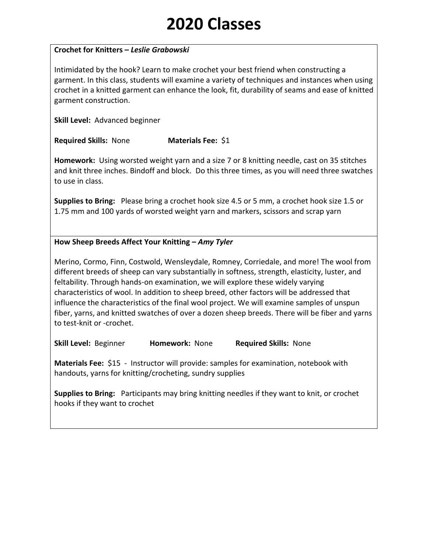### **Crochet for Knitters –** *Leslie Grabowski*

Intimidated by the hook? Learn to make crochet your best friend when constructing a garment. In this class, students will examine a variety of techniques and instances when using crochet in a knitted garment can enhance the look, fit, durability of seams and ease of knitted garment construction.

**Skill Level:** Advanced beginner

**Required Skills:** None **Materials Fee:** \$1

**Homework:** Using worsted weight yarn and a size 7 or 8 knitting needle, cast on 35 stitches and knit three inches. Bindoff and block. Do this three times, as you will need three swatches to use in class.

**Supplies to Bring:** Please bring a crochet hook size 4.5 or 5 mm, a crochet hook size 1.5 or 1.75 mm and 100 yards of worsted weight yarn and markers, scissors and scrap yarn

**How Sheep Breeds Affect Your Knitting –** *Amy Tyler*

Merino, Cormo, Finn, Costwold, Wensleydale, Romney, Corriedale, and more! The wool from different breeds of sheep can vary substantially in softness, strength, elasticity, luster, and feltability. Through hands-on examination, we will explore these widely varying characteristics of wool. In addition to sheep breed, other factors will be addressed that influence the characteristics of the final wool project. We will examine samples of unspun fiber, yarns, and knitted swatches of over a dozen sheep breeds. There will be fiber and yarns to test-knit or -crochet.

**Skill Level:** Beginner **Homework:** None **Required Skills:** None

**Materials Fee:** \$15 - Instructor will provide: samples for examination, notebook with handouts, yarns for knitting/crocheting, sundry supplies

**Supplies to Bring:** Participants may bring knitting needles if they want to knit, or crochet hooks if they want to crochet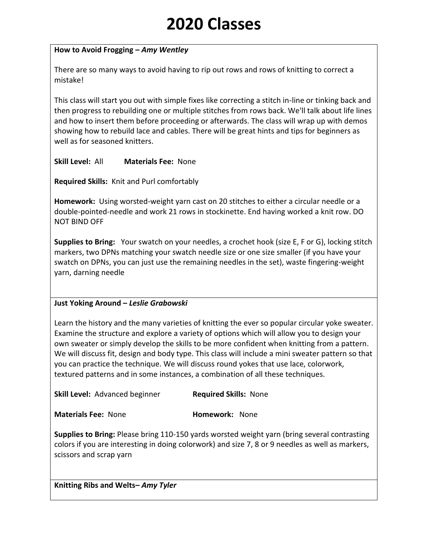### **How to Avoid Frogging –** *Amy Wentley*

There are so many ways to avoid having to rip out rows and rows of knitting to correct a mistake!

This class will start you out with simple fixes like correcting a stitch in-line or tinking back and then progress to rebuilding one or multiple stitches from rows back. We'll talk about life lines and how to insert them before proceeding or afterwards. The class will wrap up with demos showing how to rebuild lace and cables. There will be great hints and tips for beginners as well as for seasoned knitters.

**Skill Level:** All **Materials Fee:** None

**Required Skills:** Knit and Purl comfortably

**Homework:** Using worsted-weight yarn cast on 20 stitches to either a circular needle or a double-pointed-needle and work 21 rows in stockinette. End having worked a knit row. DO NOT BIND OFF

**Supplies to Bring:** Your swatch on your needles, a crochet hook (size E, F or G), locking stitch markers, two DPNs matching your swatch needle size or one size smaller (if you have your swatch on DPNs, you can just use the remaining needles in the set), waste fingering-weight yarn, darning needle

### **Just Yoking Around –** *Leslie Grabowski*

Learn the history and the many varieties of knitting the ever so popular circular yoke sweater. Examine the structure and explore a variety of options which will allow you to design your own sweater or simply develop the skills to be more confident when knitting from a pattern. We will discuss fit, design and body type. This class will include a mini sweater pattern so that you can practice the technique. We will discuss round yokes that use lace, colorwork, textured patterns and in some instances, a combination of all these techniques.

**Skill Level:** Advanced beginner **Required Skills:** None

**Materials Fee: None <b>Homework:** None

**Supplies to Bring:** Please bring 110-150 yards worsted weight yarn (bring several contrasting colors if you are interesting in doing colorwork) and size 7, 8 or 9 needles as well as markers, scissors and scrap yarn

**Knitting Ribs and Welts–** *Amy Tyler*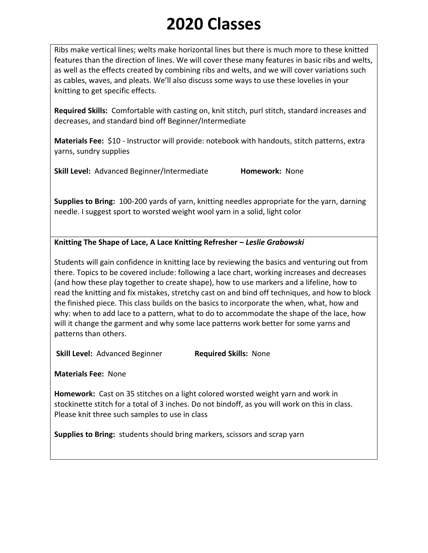Ribs make vertical lines; welts make horizontal lines but there is much more to these knitted features than the direction of lines. We will cover these many features in basic ribs and welts, as well as the effects created by combining ribs and welts, and we will cover variations such as cables, waves, and pleats. We'll also discuss some ways to use these lovelies in your knitting to get specific effects.

**Required Skills:** Comfortable with casting on, knit stitch, purl stitch, standard increases and decreases, and standard bind off Beginner/Intermediate

**Materials Fee:** \$10 - Instructor will provide: notebook with handouts, stitch patterns, extra yarns, sundry supplies

**Skill Level:** Advanced Beginner/Intermediate **Homework:** None

**Supplies to Bring:** 100-200 yards of yarn, knitting needles appropriate for the yarn, darning needle. I suggest sport to worsted weight wool yarn in a solid, light color

## **Knitting The Shape of Lace, A Lace Knitting Refresher –** *Leslie Grabowski*

Students will gain confidence in knitting lace by reviewing the basics and venturing out from there. Topics to be covered include: following a lace chart, working increases and decreases (and how these play together to create shape), how to use markers and a lifeline, how to read the knitting and fix mistakes, stretchy cast on and bind off techniques, and how to block the finished piece. This class builds on the basics to incorporate the when, what, how and why: when to add lace to a pattern, what to do to accommodate the shape of the lace, how will it change the garment and why some lace patterns work better for some yarns and patterns than others.

**Skill Level:** Advanced Beginner **Required Skills:** None

**Materials Fee:** None

**Homework:** Cast on 35 stitches on a light colored worsted weight yarn and work in stockinette stitch for a total of 3 inches. Do not bindoff, as you will work on this in class. Please knit three such samples to use in class

**Supplies to Bring:** students should bring markers, scissors and scrap yarn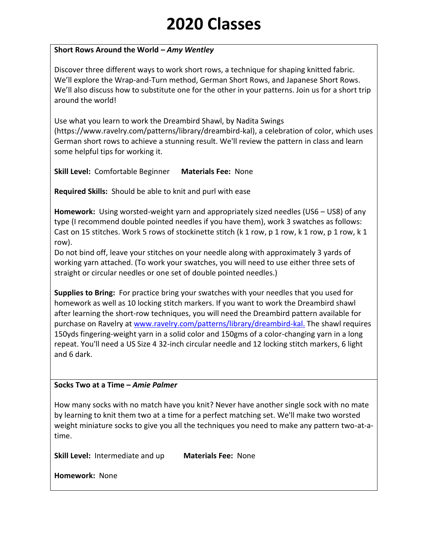### **Short Rows Around the World –** *Amy Wentley*

Discover three different ways to work short rows, a technique for shaping knitted fabric. We'll explore the Wrap-and-Turn method, German Short Rows, and Japanese Short Rows. We'll also discuss how to substitute one for the other in your patterns. Join us for a short trip around the world!

Use what you learn to work the Dreambird Shawl, by Nadita Swings (https://www.ravelry.com/patterns/library/dreambird-kal), a celebration of color, which uses German short rows to achieve a stunning result. We'll review the pattern in class and learn some helpful tips for working it.

**Skill Level:** Comfortable Beginner **Materials Fee:** None

**Required Skills:** Should be able to knit and purl with ease

**Homework:** Using worsted-weight yarn and appropriately sized needles (US6 – US8) of any type (I recommend double pointed needles if you have them), work 3 swatches as follows: Cast on 15 stitches. Work 5 rows of stockinette stitch (k 1 row, p 1 row, k 1 row, p 1 row, k 1 row).

Do not bind off, leave your stitches on your needle along with approximately 3 yards of working yarn attached. (To work your swatches, you will need to use either three sets of straight or circular needles or one set of double pointed needles.)

**Supplies to Bring:** For practice bring your swatches with your needles that you used for homework as well as 10 locking stitch markers. If you want to work the Dreambird shawl after learning the short-row techniques, you will need the Dreambird pattern available for purchase on Ravelry at [www.ravelry.com/patterns/library/dreambird-kal.](http://www.ravelry.com/patterns/library/dreambird-kal.) The shawl requires 150yds fingering-weight yarn in a solid color and 150gms of a color-changing yarn in a long repeat. You'll need a US Size 4 32-inch circular needle and 12 locking stitch markers, 6 light and 6 dark.

### **Socks Two at a Time –** *Amie Palmer*

How many socks with no match have you knit? Never have another single sock with no mate by learning to knit them two at a time for a perfect matching set. We'll make two worsted weight miniature socks to give you all the techniques you need to make any pattern two-at-atime.

**Skill Level:** Intermediate and up **Materials Fee:** None

**Homework:** None